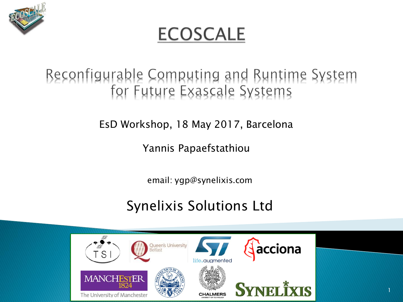

#### **ECOSCALE**

# Beconfigurable Computing and Buntime System<br>for Future Exascale Systems

#### EsD Workshop, 18 May 2017, Barcelona

#### Yannis Papaefstathiou

email: ygp@synelixis.com

#### Synelixis Solutions Ltd

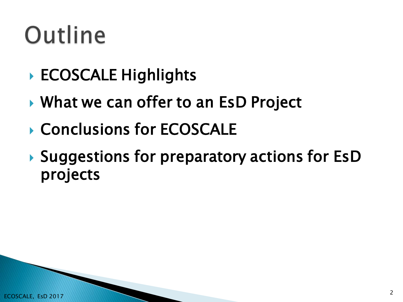## Outline

- ▶ ECOSCALE Highlights
- ▶ What we can offer to an EsD Project
- ▶ Conclusions for ECOSCALE
- ▶ Suggestions for preparatory actions for EsD projects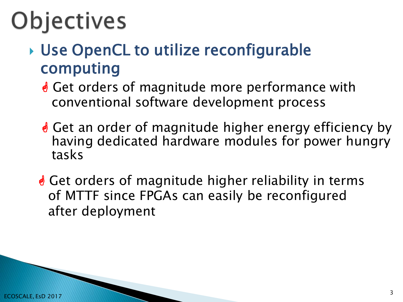## Objectives

- ▶ Use OpenCL to utilize reconfigurable computing
	- **S** Get orders of magnitude more performance with conventional software development process
	- **S** Get an order of magnitude higher energy efficiency by having dedicated hardware modules for power hungry tasks
	- **e** Get orders of magnitude higher reliability in terms of MTTF since FPGAs can easily be reconfigured after deployment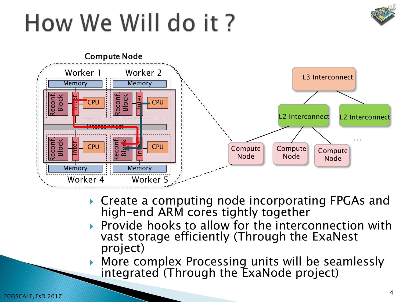#### How We Will do it?





- ▶ Create a computing node incorporating FPGAs and high-end ARM cores tightly together
- Provide hooks to allow for the interconnection with vast storage efficiently (Through the ExaNest project)
- More complex Processing units will be seamlessly integrated (Through the ExaNode project)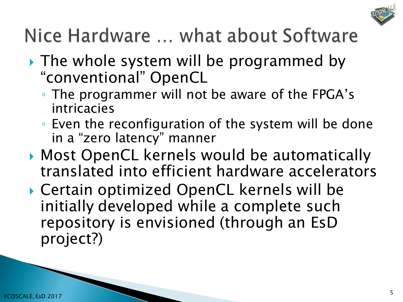

#### Nice Hardware ... what about Software

- If The whole system will be programmed by "conventional" OpenCL
	- The programmer will not be aware of the FPGA's intricacies
	- Even the reconfiguration of the system will be done in a "zero latency" manner
- ▶ Most OpenCL kernels would be automatically translated into efficient hardware accelerators
- Certain optimized OpenCL kernels will be initially developed while a complete such repository is envisioned (through an EsD project?)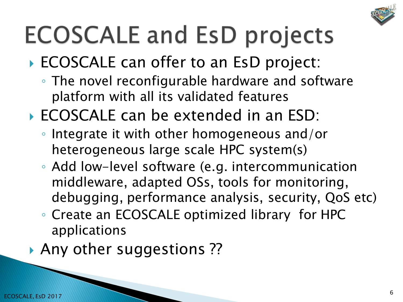

## **ECOSCALE and EsD projects**

- ECOSCALE can offer to an EsD project:
	- The novel reconfigurable hardware and software platform with all its validated features
- ▶ ECOSCALE can be extended in an ESD:
	- Integrate it with other homogeneous and/or heterogeneous large scale HPC system(s)
	- Add low-level software (e.g. intercommunication middleware, adapted OSs, tools for monitoring, debugging, performance analysis, security, QoS etc)
	- Create an ECOSCALE optimized library for HPC applications
- Any other suggestions?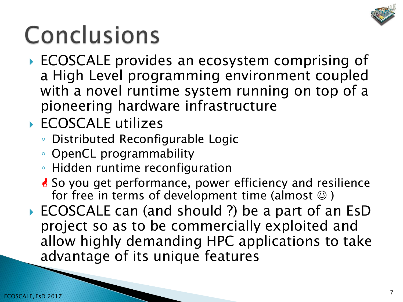

## Conclusions

- ▶ ECOSCALE provides an ecosystem comprising of a High Level programming environment coupled with a novel runtime system running on top of a pioneering hardware infrastructure
- ▶ ECOSCALE utilizes
	- Distributed Reconfigurable Logic
	- OpenCL programmability
	- Hidden runtime reconfiguration
	- <u></u> So you get performance, power efficiency and resilience for free in terms of development time (almost  $\circledcirc$  )
- ▶ ECOSCALE can (and should ?) be a part of an EsD project so as to be commercially exploited and allow highly demanding HPC applications to take advantage of its unique features